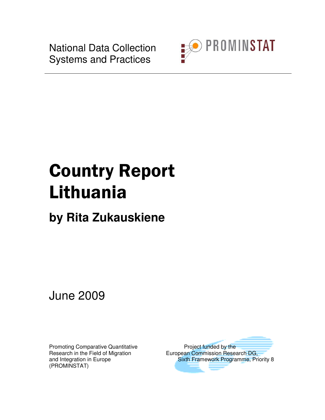National Data Collection Systems and Practices



# Country Report Lithuania

# **by Rita Zukauskiene**

June 2009

Promoting Comparative Quantitative **Project funded by the** (PROMINSTAT)

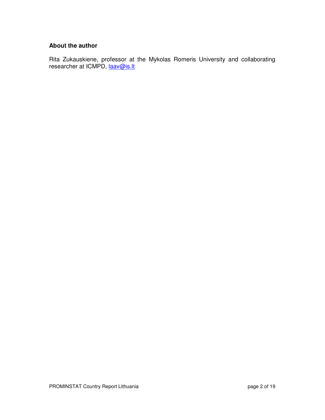#### **About the author**

Rita Zukauskiene, professor at the Mykolas Romeris University and collaborating researcher at ICMPD, laav@is.lt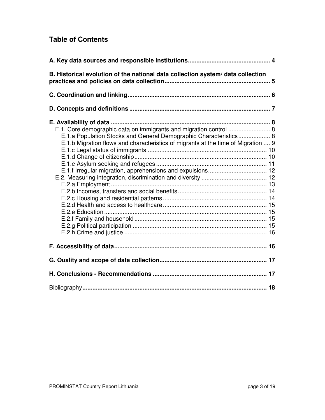# **Table of Contents**

| B. Historical evolution of the national data collection system/data collection                                                                                                                                              |  |
|-----------------------------------------------------------------------------------------------------------------------------------------------------------------------------------------------------------------------------|--|
|                                                                                                                                                                                                                             |  |
|                                                                                                                                                                                                                             |  |
| E.1. Core demographic data on immigrants and migration control  8<br>E.1.a Population Stocks and General Demographic Characteristics 8<br>E.1.b Migration flows and characteristics of migrants at the time of Migration  9 |  |
|                                                                                                                                                                                                                             |  |
|                                                                                                                                                                                                                             |  |
|                                                                                                                                                                                                                             |  |
|                                                                                                                                                                                                                             |  |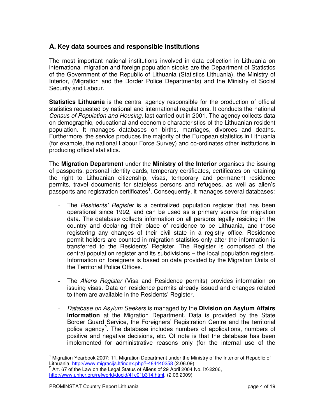#### **A. Key data sources and responsible institutions**

The most important national institutions involved in data collection in Lithuania on international migration and foreign population stocks are the Department of Statistics of the Government of the Republic of Lithuania (Statistics Lithuania), the Ministry of Interior, (Migration and the Border Police Departments) and the Ministry of Social Security and Labour.

**Statistics Lithuania** is the central agency responsible for the production of official statistics requested by national and international regulations. It conducts the national Census of Population and Housing, last carried out in 2001. The agency collects data on demographic, educational and economic characteristics of the Lithuanian resident population. It manages databases on births, marriages, divorces and deaths. Furthermore, the service produces the majority of the European statistics in Lithuania (for example, the national Labour Force Survey) and co-ordinates other institutions in producing official statistics.

The **Migration Department** under the **Ministry of the Interior** organises the issuing of passports, personal identity cards, temporary certificates, certificates on retaining the right to Lithuanian citizenship, visas, temporary and permanent residence permits, travel documents for stateless persons and refugees, as well as alien's  $p$ assports and registration certificates<sup>1</sup>. Consequently, it manages several databases:

- The Residents' Register is a centralized population register that has been operational since 1992, and can be used as a primary source for migration data. The database collects information on all persons legally residing in the country and declaring their place of residence to be Lithuania, and those registering any changes of their civil state in a registry office. Residence permit holders are counted in migration statistics only after the information is transferred to the Residents' Register. The Register is comprised of the central population register and its subdivisions – the local population registers. Information on foreigners is based on data provided by the Migration Units of the Territorial Police Offices.
- The Aliens Register (Visa and Residence permits) provides information on issuing visas. Data on residence permits already issued and changes related to them are available in the Residents' Register.
- Database on Asylum Seekers is managed by the **Division on Asylum Affairs Information** at the Migration Department. Data is provided by the State Border Guard Service, the Foreigners' Registration Centre and the territorial police agency<sup>2</sup>. The database includes numbers of applications, numbers of positive and negative decisions, etc. Of note is that the database has been implemented for administrative reasons only (for the internal use of the

<sup>1</sup> Migration Yearbook 2007: 11, Migration Department under the Ministry of the Interior of Republic of Lithuania, http://www.migracija.lt/index.php?-484440258 (2.06.09)

<sup>2</sup> Art. 67 of the Law on the Legal Status of Aliens of 29 April 2004 No. IX-2206, http://www.unhcr.org/refworld/docid/41c01b314.html, (2.06.2009)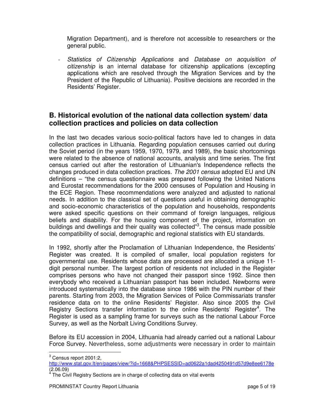Migration Department), and is therefore not accessible to researchers or the general public.

- Statistics of Citizenship Applications and Database on acquisition of citizenship is an internal database for citizenship applications (excepting applications which are resolved through the Migration Services and by the President of the Republic of Lithuania). Positive decisions are recorded in the Residents' Register.

### **B. Historical evolution of the national data collection system/ data collection practices and policies on data collection**

In the last two decades various socio-political factors have led to changes in data collection practices in Lithuania. Regarding population censuses carried out during the Soviet period (in the years 1959, 1970, 1979, and 1989), the basic shortcomings were related to the absence of national accounts, analysis and time series. The first census carried out after the restoration of Lithuanian's Independence reflects the changes produced in data collection practices. The 2001 census adopted EU and UN definitions – "the census questionnaire was prepared following the United Nations and Eurostat recommendations for the 2000 censuses of Population and Housing in the ECE Region. These recommendations were analyzed and adjusted to national needs. In addition to the classical set of questions useful in obtaining demographic and socio-economic characteristics of the population and households, respondents were asked specific questions on their command of foreign languages, religious beliefs and disability. For the housing component of the project, information on buildings and dwellings and their quality was collected"<sup>3</sup>. The census made possible the compatibility of social, demographic and regional statistics with EU standards.

In 1992, shortly after the Proclamation of Lithuanian Independence, the Residents' Register was created. It is compiled of smaller, local population registers for governmental use. Residents whose data are processed are allocated a unique 11 digit personal number. The largest portion of residents not included in the Register comprises persons who have not changed their passport since 1992. Since then everybody who received a Lithuanian passport has been included. Newborns were introduced systematically into the database since 1986 with the PIN number of their parents. Starting from 2003, the Migration Services of Police Commissariats transfer residence data on to the online Residents' Register. Also since 2005 the Civil Registry Sections transfer information to the online Residents' Register<sup>4</sup>. The Register is used as a sampling frame for surveys such as the national Labour Force Survey, as well as the Norbalt Living Conditions Survey.

Before its EU accession in 2004, Lithuania had already carried out a national Labour Force Survey. Nevertheless, some adjustments were necessary in order to maintain l

 $3$  Census report 2001:2,

http://www.stat.gov.lt/en/pages/view/?id=1668&PHPSESSID=ad0622a1dad4250491d57d9e8ee6178e

<sup>(2.06.09)&</sup>lt;br><sup>4</sup> The Civil Registry Sections are in charge of collecting data on vital events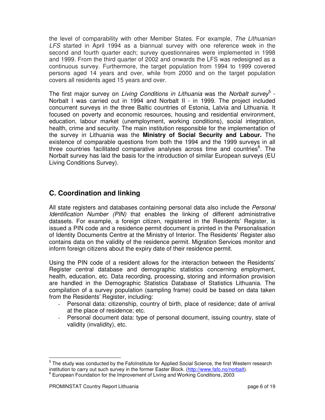the level of comparability with other Member States. For example, The Lithuanian LFS started in April 1994 as a biannual survey with one reference week in the second and fourth quarter each; survey questionnaires were implemented in 1998 and 1999. From the third quarter of 2002 and onwards the LFS was redesigned as a continuous survey. Furthermore, the target population from 1994 to 1999 covered persons aged 14 years and over, while from 2000 and on the target population covers all residents aged 15 years and over.

The first major survey on Living Conditions in Lithuania was the Norbalt survey<sup>5</sup> -Norbalt I was carried out in 1994 and Norbalt II - in 1999. The project included concurrent surveys in the three Baltic countries of Estonia, Latvia and Lithuania. It focused on poverty and economic resources, housing and residential environment, education, labour market (unemployment, working conditions), social integration, health, crime and security. The main institution responsible for the implementation of the survey in Lithuania was the **Ministry of Social Security and Labour.** The existence of comparable questions from both the 1994 and the 1999 surveys in all three countries facilitated comparative analyses across time and countries<sup>6</sup>. The Norbalt survey has laid the basis for the introduction of similar European surveys (EU Living Conditions Survey).

# **C. Coordination and linking**

All state registers and databases containing personal data also include the Personal Identification Number (PIN) that enables the linking of different administrative datasets. For example, a foreign citizen, registered in the Residents' Register, is issued a PIN code and a residence permit document is printed in the Personalisation of Identity Documents Centre at the Ministry of Interior. The Residents' Register also contains data on the validity of the residence permit. Migration Services monitor and inform foreign citizens about the expiry date of their residence permit.

Using the PIN code of a resident allows for the interaction between the Residents' Register central database and demographic statistics concerning employment, health, education, etc. Data recording, processing, storing and information provision are handled in the Demographic Statistics Database of Statistics Lithuania. The compilation of a survey population (sampling frame) could be based on data taken from the Residents' Register, including:

- Personal data: citizenship, country of birth, place of residence; date of arrival at the place of residence; etc.
- Personal document data: type of personal document, issuing country, state of validity (invalidity), etc.

 $<sup>5</sup>$  The study was conducted by the FafoInstitute for Applied Social Science, the first Western research</sup> institution to carry out such survey in the former Easter Block. (http://www.fafo.no/norbalt).

<sup>&</sup>lt;sup>6</sup> European Foundation for the Improvement of Living and Working Conditions, 2003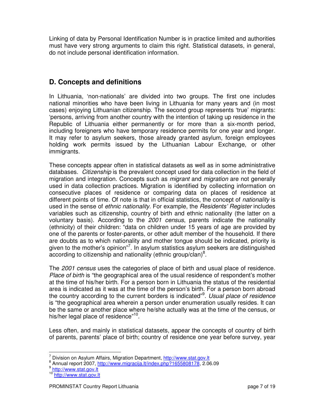Linking of data by Personal Identification Number is in practice limited and authorities must have very strong arguments to claim this right. Statistical datasets, in general, do not include personal identification information.

# **D. Concepts and definitions**

In Lithuania, 'non-nationals' are divided into two groups. The first one includes national minorities who have been living in Lithuania for many years and (in most cases) enjoying Lithuanian citizenship. The second group represents 'true' migrants: 'persons, arriving from another country with the intention of taking up residence in the Republic of Lithuania either permanently or for more than a six-month period, including foreigners who have temporary residence permits for one year and longer. It may refer to asylum seekers, those already granted asylum, foreign employees holding work permits issued by the Lithuanian Labour Exchange, or other immigrants.

These concepts appear often in statistical datasets as well as in some administrative databases. *Citizenship* is the prevalent concept used for data collection in the field of migration and integration. Concepts such as *migrant* and *migration* are not generally used in data collection practices. Migration is identified by collecting information on consecutive places of residence or comparing data on places of residence at different points of time. Of note is that in official statistics, the concept of *nationality* is used in the sense of *ethnic nationality*. For example, the *Residents' Register* includes variables such as citizenship, country of birth and ethnic nationality (the latter on a voluntary basis). According to the 2001 census, parents indicate the nationality (ethnicity) of their children: "data on children under 15 years of age are provided by one of the parents or foster-parents, or other adult member of the household. If there are doubts as to which nationality and mother tongue should be indicated, priority is given to the mother's opinion"<sup>7</sup>. In asylum statistics asylum seekers are distinguished according to citizenship and nationality (ethnic group/clan)<sup>8</sup>.

The 2001 census uses the categories of place of birth and usual place of residence. Place of birth is "the geographical area of the usual residence of respondent's mother at the time of his/her birth. For a person born in Lithuania the status of the residential area is indicated as it was at the time of the person's birth. For a person born abroad the country according to the current borders is indicated"<sup>9</sup>. Usual place of residence is "the geographical area wherein a person under enumeration usually resides. It can be the same or another place where he/she actually was at the time of the census, or his/her legal place of residence"<sup>10</sup>.

Less often, and mainly in statistical datasets, appear the concepts of country of birth of parents, parents' place of birth; country of residence one year before survey, year

<sup>7</sup> Division on Asylum Affairs, Migration Department, http://www.stat.gov.lt

<sup>&</sup>lt;sup>8</sup> Annual report 2007, http://www.migracija.lt/index.php?1655808178, 2.06.09

<sup>&</sup>lt;sup>9</sup> http://www.stat.gov.lt

<sup>10</sup> http://www.stat.gov.lt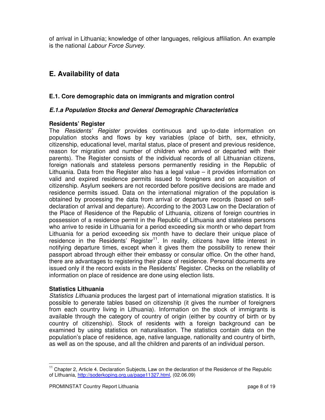of arrival in Lithuania; knowledge of other languages, religious affiliation. An example is the national Labour Force Survey.

# **E. Availability of data**

#### **E.1. Core demographic data on immigrants and migration control**

#### **E.1.a Population Stocks and General Demographic Characteristics**

#### **Residents' Register**

The Residents' Register provides continuous and up-to-date information on population stocks and flows by key variables (place of birth, sex, ethnicity, citizenship, educational level, marital status, place of present and previous residence, reason for migration and number of children who arrived or departed with their parents). The Register consists of the individual records of all Lithuanian citizens, foreign nationals and stateless persons permanently residing in the Republic of Lithuania. Data from the Register also has a legal value – it provides information on valid and expired residence permits issued to foreigners and on acquisition of citizenship. Asylum seekers are not recorded before positive decisions are made and residence permits issued. Data on the international migration of the population is obtained by processing the data from arrival or departure records (based on selfdeclaration of arrival and departure). According to the 2003 Law on the Declaration of the Place of Residence of the Republic of Lithuania, citizens of foreign countries in possession of a residence permit in the Republic of Lithuania and stateless persons who arrive to reside in Lithuania for a period exceeding six month or who depart from Lithuania for a period exceeding six month have to declare their unique place of residence in the Residents' Register<sup>11</sup>. In reality, citizens have little interest in notifying departure times, except when it gives them the possibility to renew their passport abroad through either their embassy or consular office. On the other hand, there are advantages to registering their place of residence. Personal documents are issued only if the record exists in the Residents' Register. Checks on the reliability of information on place of residence are done using election lists.

#### **Statistics Lithuania**

l

Statistics Lithuania produces the largest part of international migration statistics. It is possible to generate tables based on citizenship (it gives the number of foreigners from each country living in Lithuania). Information on the stock of immigrants is available through the category of country of origin (either by country of birth or by country of citizenship). Stock of residents with a foreign background can be examined by using statistics on naturalisation. The statistics contain data on the population's place of residence, age, native language, nationality and country of birth, as well as on the spouse, and all the children and parents of an individual person.

<sup>&</sup>lt;sup>11</sup> Chapter 2, Article 4. Declaration Subjects, Law on the declaration of the Residence of the Republic of Lithuania, http://soderkoping.org.ua/page11327.html, (02.06.09)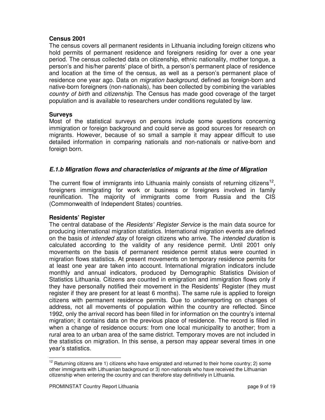#### **Census 2001**

The census covers all permanent residents in Lithuania including foreign citizens who hold permits of permanent residence and foreigners residing for over a one year period. The census collected data on citizenship, ethnic nationality, mother tongue, a person's and his/her parents' place of birth, a person's permanent place of residence and location at the time of the census, as well as a person's permanent place of residence one year ago. Data on *migration background*, defined as foreign-born and native-born foreigners (non-nationals), has been collected by combining the variables country of birth and citizenship. The Census has made good coverage of the target population and is available to researchers under conditions regulated by law.

#### **Surveys**

Most of the statistical surveys on persons include some questions concerning immigration or foreign background and could serve as good sources for research on migrants. However, because of so small a sample it may appear difficult to use detailed information in comparing nationals and non-nationals or native-born and foreign born.

#### **E.1.b Migration flows and characteristics of migrants at the time of Migration**

The current flow of immigrants into Lithuania mainly consists of returning citizens<sup>12</sup>, foreigners immigrating for work or business or foreigners involved in family reunification. The majority of immigrants come from Russia and the CIS (Commonwealth of Independent States) countries.

#### **Residents' Register**

The central database of the Residents' Register Service is the main data source for producing international migration statistics. International migration events are defined on the basis of intended stay of foreign citizens who arrive. The intended duration is calculated according to the validity of any residence permit. Until 2001 only movements on the basis of permanent residence permit status were counted in migration flows statistics. At present movements on temporary residence permits for at least one year are taken into account. International migration indicators include monthly and annual indicators, produced by Demographic Statistics Division of Statistics Lithuania. Citizens are counted in emigration and immigration flows only if they have personally notified their movement in the Residents' Register (they must register if they are present for at least 6 months). The same rule is applied to foreign citizens with permanent residence permits. Due to underreporting on changes of address, not all movements of population within the country are reflected. Since 1992, only the arrival record has been filled in for information on the country's internal migration; it contains data on the previous place of residence. The record is filled in when a change of residence occurs: from one local municipality to another; from a rural area to an urban area of the same district. Temporary moves are not included in the statistics on migration. In this sense, a person may appear several times in one year's statistics.

 $12$  Returning citizens are 1) citizens who have emigrated and returned to their home country; 2) some other immigrants with Lithuanian background or 3) non-nationals who have received the Lithuanian citizenship when entering the country and can therefore stay definitively in Lithuania.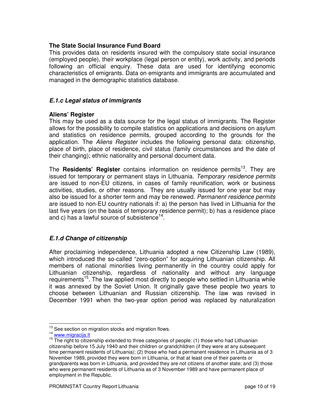#### **The State Social Insurance Fund Board**

This provides data on residents insured with the compulsory state social insurance (employed people), their workplace (legal person or entity), work activity, and periods following an official enquiry. These data are used for identifying economic characteristics of emigrants. Data on emigrants and immigrants are accumulated and managed in the demographic statistics database.

#### **E.1.c Legal status of immigrants**

#### **Aliens' Register**

This may be used as a data source for the legal status of immigrants. The Register allows for the possibility to compile statistics on applications and decisions on asylum and statistics on residence permits, grouped according to the grounds for the application. The Aliens Register includes the following personal data: citizenship, place of birth, place of residence, civil status (family circumstances and the date of their changing); ethnic nationality and personal document data.

The **Residents' Register** contains information on residence permits<sup>13</sup>. They are issued for temporary or permanent stays in Lithuania. Temporary residence permits are issued to non-EU citizens, in cases of family reunification, work or business activities, studies, or other reasons. They are usually issued for one year but may also be issued for a shorter term and may be renewed. Permanent residence permits are issued to non-EU country nationals if: a) the person has lived in Lithuania for the last five years (on the basis of temporary residence permit); b) has a residence place and c) has a lawful source of subsistence<sup>14</sup>.

#### **E.1.d Change of citizenship**

After proclaiming independence, Lithuania adopted a new Citizenship Law (1989), which introduced the so-called "zero-option" for acquiring Lithuanian citizenship. All members of national minorities living permanently in the country could apply for Lithuanian citizenship, regardless of nationality and without any language requirements<sup>15</sup>. The law applied most directly to people who settled in Lithuania while it was annexed by the Soviet Union. It originally gave these people two years to choose between Lithuanian and Russian citizenship. The law was revised in December 1991 when the two-year option period was replaced by naturalization

<sup>&</sup>lt;sup>13</sup> See section on migration stocks and migration flows.

<sup>14</sup> www.migracija.lt

<sup>&</sup>lt;sup>15</sup> The right to citizenship extended to three categories of people: (1) those who had Lithuanian citizenship before 15 July 1940 and their children or grandchildren (if they were at any subsequent time permanent residents of Lithuania); (2) those who had a permanent residence in Lithuania as of 3 November 1989, provided they were born in Lithuania, or that at least one of their parents or grandparents was born in Lithuania, and provided they are not citizens of another state; and (3) those who were permanent residents of Lithuania as of 3 November 1989 and have permanent place of employment in the Republic.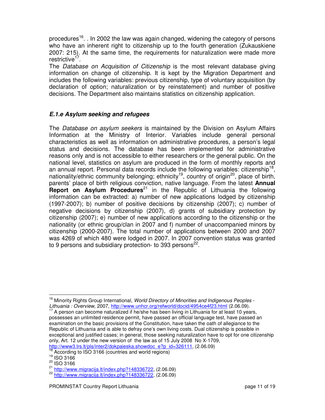procedures<sup>16</sup>. . In 2002 the law was again changed, widening the category of persons who have an inherent right to citizenship up to the fourth generation (Zukauskiene 2007: 215). At the same time, the requirements for naturalization were made more restrictive<sup>17</sup>.

The Database on Acquisition of Citizenship is the most relevant database giving information on change of citizenship. It is kept by the Migration Department and includes the following variables: previous citizenship, type of voluntary acquisition (by declaration of option; naturalization or by reinstatement) and number of positive decisions. The Department also maintains statistics on citizenship application.

#### **E.1.e Asylum seeking and refugees**

The Database on asylum seekers is maintained by the Division on Asylum Affairs Information at the Ministry of Interior. Variables include general personal characteristics as well as information on administrative procedures, a person's legal status and decisions. The database has been implemented for administrative reasons only and is not accessible to either researchers or the general public. On the national level, statistics on asylum are produced in the form of monthly reports and an annual report. Personal data records include the following variables: citizenship<sup>18</sup>, nationality/ethnic community belonging; ethnicity<sup>19</sup>, country of origin<sup>20</sup>, place of birth, parents' place of birth religious conviction, native language. From the latest **Annual Report on Asylum Procedures**<sup>21</sup> in the Republic of Lithuania the following information can be extracted: a) number of new applications lodged by citizenship (1997-2007); b) number of positive decisions by citizenship (2007); c) number of negative decisions by citizenship (2007), d) grants of subsidiary protection by citizenship (2007); e) number of new applications according to the citizenship or the nationality (or ethnic group/clan in 2007 and f) number of unaccompanied minors by citizenship (2000-2007). The total number of applications between 2000 and 2007 was 4269 of which 480 were lodged in 2007. In 2007 convention status was granted to 9 persons and subsidiary protection- to 393 persons $^{22}$ .

<sup>&</sup>lt;sup>16</sup> Minority Rights Group International, World Directory of Minorities and Indigenous Peoples -Lithuania : Overview, 2007, http://www.unhcr.org/refworld/docid/4954ce4f23.html (2.06.09).

A person can become naturalized if he/she has been living in Lithuania for at least 10 years, possesses an unlimited residence permit, have passed an official language test, have passed an examination on the basic provisions of the Constitution, have taken the oath of allegiance to the Republic of Lithuania and is able to defray one's own living costs. Dual citizenship is possible in exceptional and justified cases; in general, those seeking naturalization have to opt for one citizenship only, Art. 12 under the new version of the law as of 15 July 2008 No X-1709, http://www3.lrs.lt/pls/inter2/dokpaieska.showdoc\_e?p\_id=326111, (2.06.09)

According to ISO 3166 (countries and world regions)

<sup>19</sup> ISO 3166

<sup>&</sup>lt;sup>20</sup> ISO 3166

<sup>21</sup> http://www.migracija.lt/index.php?148336722, (2.06.09)

<sup>22</sup> http://www.migracija.lt/index.php?148336722, (2.06.09)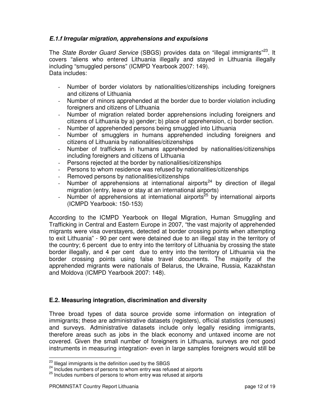#### **E.1.f Irregular migration, apprehensions and expulsions**

The State Border Guard Service (SBGS) provides data on "illegal immigrants"<sup>23</sup>. It covers "aliens who entered Lithuania illegally and stayed in Lithuania illegally including "smuggled persons" (ICMPD Yearbook 2007: 149). Data includes:

- Number of border violators by nationalities/citizenships including foreigners and citizens of Lithuania
- Number of minors apprehended at the border due to border violation including foreigners and citizens of Lithuania
- Number of migration related border apprehensions including foreigners and citizens of Lithuania by a) gender; b) place of apprehension, c) border section.
- Number of apprehended persons being smuggled into Lithuania
- Number of smugglers in humans apprehended including foreigners and citizens of Lithuania by nationalities/citizenships
- Number of traffickers in humans apprehended by nationalities/citizenships including foreigners and citizens of Lithuania
- Persons rejected at the border by nationalities/citizenships
- Persons to whom residence was refused by nationalities/citizenships
- Removed persons by nationalities/citizenships
- Number of apprehensions at international airports<sup>24</sup> by direction of illegal migration (entry, leave or stay at an international airports)
- Number of apprehensions at international airports<sup>25</sup> by international airports (ICMPD Yearbook: 150-153)

According to the ICMPD Yearbook on Illegal Migration, Human Smuggling and Trafficking in Central and Eastern Europe in 2007, "the vast majority of apprehended migrants were visa overstayers, detected at border crossing points when attempting to exit Lithuania" - 90 per cent were detained due to an illegal stay in the territory of the country; 6 percent due to entry into the territory of Lithuania by crossing the state border illegally, and 4 per cent due to entry into the territory of Lithuania via the border crossing points using false travel documents. The majority of the apprehended migrants were nationals of Belarus, the Ukraine, Russia, Kazakhstan and Moldova (ICMPD Yearbook 2007: 148).

#### **E.2. Measuring integration, discrimination and diversity**

Three broad types of data source provide some information on integration of immigrants; these are administrative datasets (registers), official statistics (censuses) and surveys. Administrative datasets include only legally residing immigrants, therefore areas such as jobs in the black economy and untaxed income are not covered. Given the small number of foreigners in Lithuania, surveys are not good instruments in measuring integration- even in large samples foreigners would still be

<sup>&</sup>lt;sup>23</sup> Illegal immigrants is the definition used by the SBGS

<sup>&</sup>lt;sup>24</sup> Includes numbers of persons to whom entry was refused at airports

 $25$  Includes numbers of persons to whom entry was refused at airports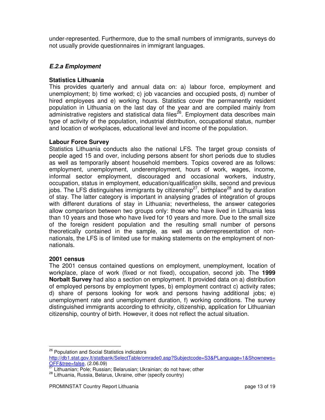under-represented. Furthermore, due to the small numbers of immigrants, surveys do not usually provide questionnaires in immigrant languages.

#### **E.2.a Employment**

#### **Statistics Lithuania**

This provides quarterly and annual data on: a) labour force, employment and unemployment; b) time worked; c) job vacancies and occupied posts, d) number of hired employees and e) working hours. Statistics cover the permanently resident population in Lithuania on the last day of the year and are compiled mainly from administrative registers and statistical data files<sup>26</sup>. Employment data describes main type of activity of the population, industrial distribution, occupational status, number and location of workplaces, educational level and income of the population.

#### **Labour Force Survey**

Statistics Lithuania conducts also the national LFS. The target group consists of people aged 15 and over, including persons absent for short periods due to studies as well as temporarily absent household members. Topics covered are as follows: employment, unemployment, underemployment, hours of work, wages, income, informal sector employment, discouraged and occasional workers, industry, occupation, status in employment, education/qualification skills, second and previous jobs. The LFS distinguishes immigrants by citizenship<sup>27</sup>, birthplace<sup>28</sup> and by duration of stay. The latter category is important in analysing grades of integration of groups with different durations of stay in Lithuania; nevertheless, the answer categories allow comparison between two groups only: those who have lived in Lithuania less than 10 years and those who have lived for 10 years and more. Due to the small size of the foreign resident population and the resulting small number of persons theoretically contained in the sample, as well as underrepresentation of nonnationals, the LFS is of limited use for making statements on the employment of nonnationals.

#### **2001 census**

l

The 2001 census contained questions on employment, unemployment, location of workplace, place of work (fixed or not fixed), occupation, second job. The **1999 Norbalt Survey** had also a section on employment. It provided data on a) distribution of employed persons by employment types, b) employment contract c) activity rates; d) share of persons looking for work and persons having additional jobs; e) unemployment rate and unemployment duration, f) working conditions. The survey distinguished immigrants according to ethnicity, citizenship, application for Lithuanian citizenship, country of birth. However, it does not reflect the actual situation.

<sup>&</sup>lt;sup>26</sup> Population and Social Statistics indicators

http://db1.stat.gov.lt/statbank/SelectTable/omrade0.asp?Subjectcode=S3&PLanguage=1&Shownews= OFF&tree=false, (2.06.09)

<sup>&</sup>lt;sup>27</sup> Lithuanian; Pole; Russian; Belarusian; Ukrainian; do not have; other

<sup>&</sup>lt;sup>28</sup> Lithuania, Russia, Belarus, Ukraine, other (specify country)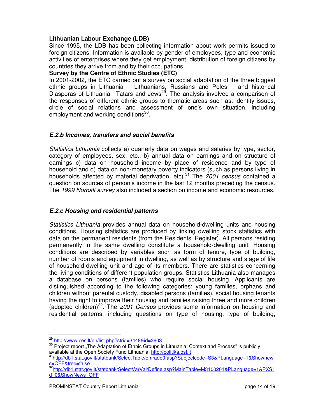#### **Lithuanian Labour Exchange (LDB)**

Since 1995, the LDB has been collecting information about work permits issued to foreign citizens. Information is available by gender of employees, type and economic activities of enterprises where they get employment, distribution of foreign citizens by countries they arrive from and by their occupations..

#### **Survey by the Centre of Ethnic Studies (ETC)**

In 2001-2002, the ETC carried out a survey on social adaptation of the three biggest ethnic groups in Lithuania – Lithuanians, Russians and Poles – and historical Diasporas of Lithuania– Tatars and Jews<sup>29</sup>. The analysis involved a comparison of the responses of different ethnic groups to thematic areas such as: identity issues, circle of social relations and assessment of one's own situation, including employment and working conditions<sup>30</sup>.

#### **E.2.b Incomes, transfers and social benefits**

Statistics Lithuania collects a) quarterly data on wages and salaries by type, sector, category of employees, sex, etc., b) annual data on earnings and on structure of earnings c) data on household income by place of residence and by type of household and d) data on non-monetary poverty indicators (such as persons living in households affected by material deprivation, etc).<sup>31</sup> The  $2001$  census contained a question on sources of person's income in the last 12 months preceding the census. The 1999 Norbalt survey also included a section on income and economic resources.

#### **E.2.c Housing and residential patterns**

Statistics Lithuania provides annual data on household-dwelling units and housing conditions. Housing statistics are produced by linking dwelling stock statistics with data on the permanent residents (from the Residents' Register). All persons residing permanently in the same dwelling constitute a household-dwelling unit. Housing conditions are described by variables such as form of tenure, type of building, number of rooms and equipment in dwelling, as well as by structure and stage of life of household-dwelling unit and age of its members. There are statistics concerning the living conditions of different population groups. Statistics Lithuania also manages a database on persons (families) who require social housing. Applicants are distinguished according to the following categories: young families, orphans and children without parental custody, disabled persons (families), social housing tenants having the right to improve their housing and families raising three and more children (adopted children)<sup>32</sup>. The 2001 Census provides some information on housing and residential patterns, including questions on type of housing, type of building;

<sup>29</sup> http://www.ces.lt/en/list.php?strid=3448&id=3603

<sup>&</sup>lt;sup>30</sup> Project report "The Adaptation of Ethnic Groups in Lithuania: Context and Process" is publicly available at the Open Society Fund Lithuania, http://politika.osf.lt

<sup>31</sup>http://db1.stat.gov.lt/statbank/SelectTable/omrade0.asp?Subjectcode=S3&PLanguage=1&Shownew s=OFF&tree=false

<sup>32</sup>http://db1.stat.gov.lt/statbank/SelectVarVal/Define.asp?MainTable=M3100201&PLanguage=1&PXSI d=0&ShowNews=OFF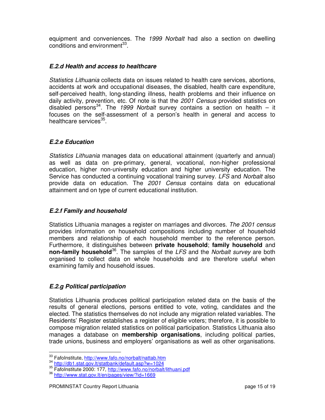equipment and conveniences. The 1999 Norbalt had also a section on dwelling conditions and environment<sup>33</sup>.

#### **E.2.d Health and access to healthcare**

Statistics Lithuania collects data on issues related to health care services, abortions, accidents at work and occupational diseases, the disabled, health care expenditure, self-perceived health, long-standing illness, health problems and their influence on daily activity, prevention, etc. Of note is that the 2001 Census provided statistics on disabled persons<sup>34</sup>. The 1999 Norbalt survey contains a section on health – it focuses on the self-assessment of a person's health in general and access to healthcare services<sup>35</sup>.

#### **E.2.e Education**

Statistics Lithuania manages data on educational attainment (quarterly and annual) as well as data on pre-primary, general, vocational, non-higher professional education, higher non-university education and higher university education. The Service has conducted a continuing vocational training survey. LFS and Norbalt also provide data on education. The 2001 Census contains data on educational attainment and on type of current educational institution.

#### **E.2.f Family and household**

Statistics Lithuania manages a register on marriages and divorces. The 2001 census provides information on household compositions including number of household members and relationship of each household member to the reference person. Furthermore, it distinguishes between **private household**; **family household** and **non-family household**<sup>36</sup>. The samples of the LFS and the Norbalt survey are both organised to collect data on whole households and are therefore useful when examining family and household issues.

#### **E.2.g Political participation**

l

Statistics Lithuania produces political participation related data on the basis of the results of general elections, persons entitled to vote, voting, candidates and the elected. The statistics themselves do not include any migration related variables. The Residents' Register establishes a register of eligible voters; therefore, it is possible to compose migration related statistics on political participation. Statistics Lithuania also manages a database on **membership organisations**, including political parties, trade unions, business and employers' organisations as well as other organisations.

<sup>33</sup> FafoInstitute, http://www.fafo.no/norbalt/nattab.htm

<sup>34</sup> http://db1.stat.gov.lt/statbank/default.asp?w=1024

<sup>35</sup> FafoInstitute 2000: 177, http://www.fafo.no/norbalt/lithuani.pdf

<sup>36</sup> http://www.stat.gov.lt/en/pages/view/?id=1669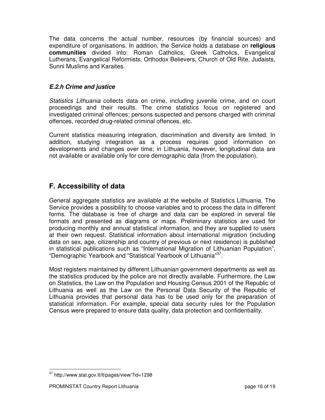The data concerns the actual number, resources (by financial sources) and expenditure of organisations. In addition, the Service holds a database on **religious communities** divided into: Roman Catholics, Greek Catholics, Evangelical Lutherans, Evangelical Reformists, Orthodox Believers, Church of Old Rite, Judaists, Sunni Muslims and Karaites.

#### **E.2.h Crime and justice**

Statistics Lithuania collects data on crime, including juvenile crime, and on court proceedings and their results. The crime statistics focus on registered and investigated criminal offences; persons suspected and persons charged with criminal offences, recorded drug-related criminal offences, etc.

Current statistics measuring integration, discrimination and diversity are limited. In addition, studying integration as a process requires good information on developments and changes over time; in Lithuania, however, longitudinal data are not available or available only for core demographic data (from the population).

# **F. Accessibility of data**

General aggregate statistics are available at the website of Statistics Lithuania. The Service provides a possibility to choose variables and to process the data in different forms. The database is free of charge and data can be explored in several file formats and presented as diagrams or maps. Preliminary statistics are used for producing monthly and annual statistical information, and they are supplied to users at their own request. Statistical information about international migration (including data on sex, age, citizenship and country of previous or next residence) is published in statistical publications such as "International Migration of Lithuanian Population", "Demographic Yearbook and "Statistical Yearbook of Lithuania"<sup>37</sup>.

Most registers maintained by different Lithuanian government departments as well as the statistics produced by the police are not directly available. Furthermore, the Law on Statistics, the Law on the Population and Housing Census 2001 of the Republic of Lithuania as well as the Law on the Personal Data Security of the Republic of Lithuania provides that personal data has to be used only for the preparation of statistical information. For example, special data security rules for the Population Census were prepared to ensure data quality, data protection and confidentiality.

<sup>37</sup> http://www.stat.gov.lt/lt/pages/view/?id=1298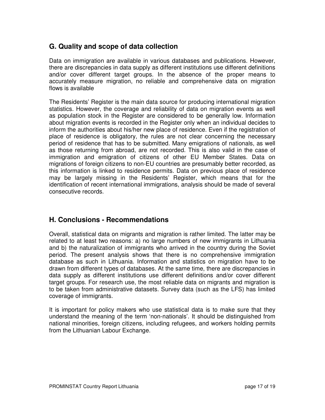# **G. Quality and scope of data collection**

Data on immigration are available in various databases and publications. However, there are discrepancies in data supply as different institutions use different definitions and/or cover different target groups. In the absence of the proper means to accurately measure migration, no reliable and comprehensive data on migration flows is available

The Residents' Register is the main data source for producing international migration statistics. However, the coverage and reliability of data on migration events as well as population stock in the Register are considered to be generally low. Information about migration events is recorded in the Register only when an individual decides to inform the authorities about his/her new place of residence. Even if the registration of place of residence is obligatory, the rules are not clear concerning the necessary period of residence that has to be submitted. Many emigrations of nationals, as well as those returning from abroad, are not recorded. This is also valid in the case of immigration and emigration of citizens of other EU Member States. Data on migrations of foreign citizens to non-EU countries are presumably better recorded, as this information is linked to residence permits. Data on previous place of residence may be largely missing in the Residents' Register, which means that for the identification of recent international immigrations, analysis should be made of several consecutive records.

# **H. Conclusions - Recommendations**

Overall, statistical data on migrants and migration is rather limited. The latter may be related to at least two reasons: a) no large numbers of new immigrants in Lithuania and b) the naturalization of immigrants who arrived in the country during the Soviet period. The present analysis shows that there is no comprehensive immigration database as such in Lithuania. Information and statistics on migration have to be drawn from different types of databases. At the same time, there are discrepancies in data supply as different institutions use different definitions and/or cover different target groups. For research use, the most reliable data on migrants and migration is to be taken from administrative datasets. Survey data (such as the LFS) has limited coverage of immigrants.

It is important for policy makers who use statistical data is to make sure that they understand the meaning of the term 'non-nationals'. It should be distinguished from national minorities, foreign citizens, including refugees, and workers holding permits from the Lithuanian Labour Exchange.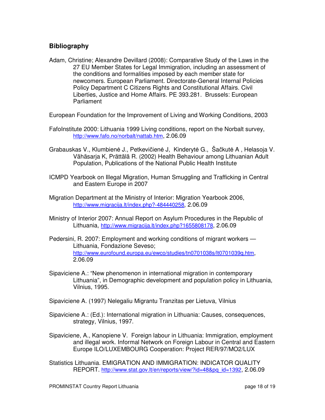## **Bibliography**

Adam, Christine; Alexandre Devillard (2008): Comparative Study of the Laws in the 27 EU Member States for Legal Immigration, including an assessment of the conditions and formalities imposed by each member state for newcomers. European Parliament. Directorate-General Internal Policies Policy Department C Citizens Rights and Constitutional Affairs. Civil Liberties, Justice and Home Affairs. PE 393.281. Brussels: European Parliament

European Foundation for the Improvement of Living and Working Conditions, 2003

- FafoInstitute 2000: Lithuania 1999 Living conditions, report on the Norbalt survey, http://www.fafo.no/norbalt/nattab.htm, 2.06.09
- Grabauskas V., Klumbienė J., Petkevičienė J, Kinderytė G., Šačkutė A , Helasoja V. Vähäsarja K, Prättälä R. (2002) Health Behaviour among Lithuanian Adult Population, Publications of the National Public Health Institute
- ICMPD Yearbook on Illegal Migration, Human Smuggling and Trafficking in Central and Eastern Europe in 2007
- Migration Department at the Ministry of Interior: Migration Yearbook 2006, http://www.migracija.lt/index.php?-484440258, 2.06.09
- Ministry of Interior 2007: Annual Report on Asylum Procedures in the Republic of Lithuania, http://www.migracija.lt/index.php?1655808178, 2.06.09
- Pedersini, R. 2007: Employment and working conditions of migrant workers Lithuania, Fondazione Seveso; http://www.eurofound.europa.eu/ewco/studies/tn0701038s/lt0701039q.htm, 2.06.09
- Sipaviciene A.: "New phenomenon in international migration in contemporary Lithuania", in Demographic development and population policy in Lithuania, Vilnius, 1995.
- Sipaviciene A. (1997) Nelegaliu Migrantu Tranzitas per Lietuva, Vilnius
- Sipaviciene A.: (Ed.): International migration in Lithuania: Causes, consequences, strategy, Vilnius, 1997.
- Sipaviciene, A., Kanopiene V. Foreign labour in Lithuania: Immigration, employment and illegal work. Informal Network on Foreign Labour in Central and Eastern Europe ILO/LUXEMBOURG Cooperation: Project RER/97/MO2/LUX
- Statistics Lithuania. EMIGRATION AND IMMIGRATION: INDICATOR QUALITY REPORT. http://www.stat.gov.lt/en/reports/view/?id=48&pq\_id=1392, 2.06.09